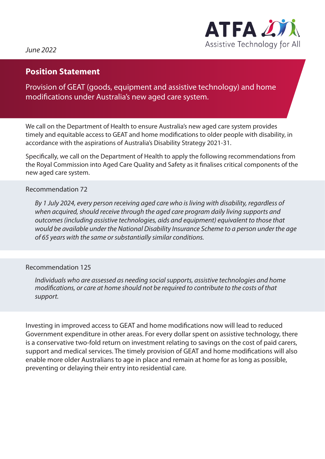

*June 2022*

## **Position Statement**

Provision of GEAT (goods, equipment and assistive technology) and home modifications under Australia's new aged care system.

We call on the Department of Health to ensure Australia's new aged care system provides timely and equitable access to GEAT and home modifications to older people with disability, in accordance with the aspirations of Australia's Disability Strategy 2021-31.

Specifically, we call on the Department of Health to apply the following recommendations from the Royal Commission into Aged Care Quality and Safety as it finalises critical components of the new aged care system.

## Recommendation 72

*By 1 July 2024, every person receiving aged care who is living with disability, regardless of when acquired, should receive through the aged care program daily living supports and outcomes (including assistive technologies, aids and equipment) equivalent to those that would be available under the National Disability Insurance Scheme to a person under the age of 65 years with the same or substantially similar conditions.*

## Recommendation 125

*Individuals who are assessed as needing social supports, assistive technologies and home modifications, or care at home should not be required to contribute to the costs of that support.*

Investing in improved access to GEAT and home modifications now will lead to reduced Government expenditure in other areas. For every dollar spent on assistive technology, there is a conservative two-fold return on investment relating to savings on the cost of paid carers, support and medical services. The timely provision of GEAT and home modifications will also enable more older Australians to age in place and remain at home for as long as possible, preventing or delaying their entry into residential care.